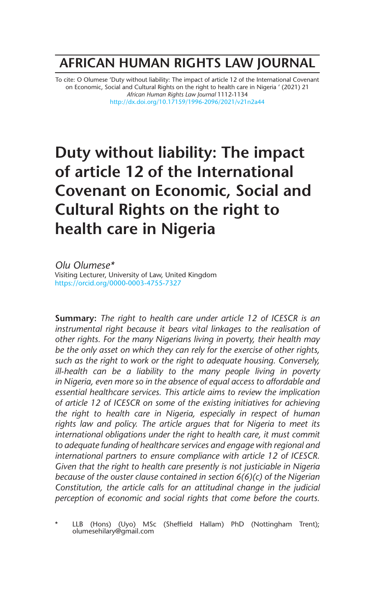# **AFRICAN HUMAN RIGHTS LAW JOURNAL**

To cite: O Olumese 'Duty without liability: The impact of article 12 of the International Covenant on Economic, Social and Cultural Rights on the right to health care in Nigeria ' (2021) 21 *African Human Rights Law Journal* 1112-1134 http://dx.doi.org/10.17159/1996-2096/2021/v21n2a44

# **Duty without liability: The impact of article 12 of the International Covenant on Economic, Social and Cultural Rights on the right to health care in Nigeria**

*Olu Olumese\** Visiting Lecturer, University of Law, United Kingdom https://orcid.org/0000-0003-4755-7327

**Summary:** *The right to health care under article 12 of ICESCR is an instrumental right because it bears vital linkages to the realisation of other rights. For the many Nigerians living in poverty, their health may be the only asset on which they can rely for the exercise of other rights, such as the right to work or the right to adequate housing. Conversely, ill-health can be a liability to the many people living in poverty in Nigeria, even more so in the absence of equal access to affordable and essential healthcare services. This article aims to review the implication of article 12 of ICESCR on some of the existing initiatives for achieving the right to health care in Nigeria, especially in respect of human rights law and policy. The article argues that for Nigeria to meet its international obligations under the right to health care, it must commit to adequate funding of healthcare services and engage with regional and international partners to ensure compliance with article 12 of ICESCR. Given that the right to health care presently is not justiciable in Nigeria because of the ouster clause contained in section 6(6)(c) of the Nigerian Constitution, the article calls for an attitudinal change in the judicial perception of economic and social rights that come before the courts.*

LLB (Hons) (Uyo) MSc (Sheffield Hallam) PhD (Nottingham Trent); olumesehilary@gmail.com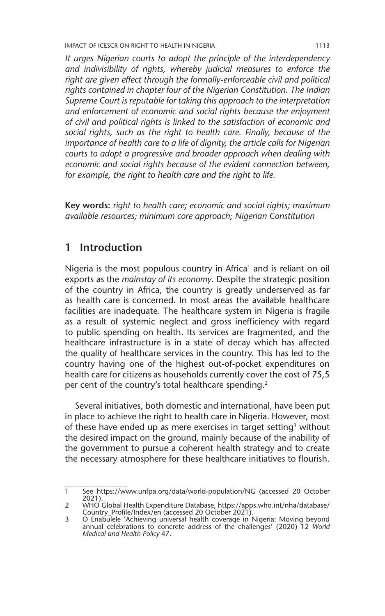IMPACT OF ICESCR ON RIGHT TO HEALTH IN NIGERIA 1113

*It urges Nigerian courts to adopt the principle of the interdependency and indivisibility of rights, whereby judicial measures to enforce the right are given effect through the formally-enforceable civil and political rights contained in chapter four of the Nigerian Constitution. The Indian Supreme Court is reputable for taking this approach to the interpretation and enforcement of economic and social rights because the enjoyment of civil and political rights is linked to the satisfaction of economic and social rights, such as the right to health care. Finally, because of the importance of health care to a life of dignity, the article calls for Nigerian courts to adopt a progressive and broader approach when dealing with economic and social rights because of the evident connection between, for example, the right to health care and the right to life.*

**Key words:** *right to health care; economic and social rights; maximum available resources; minimum core approach; Nigerian Constitution*

### **1 Introduction**

Nigeria is the most populous country in Africa<sup>1</sup> and is reliant on oil exports as the *mainstay of its economy*. Despite the strategic position of the country in Africa, the country is greatly underserved as far as health care is concerned. In most areas the available healthcare facilities are inadequate. The healthcare system in Nigeria is fragile as a result of systemic neglect and gross inefficiency with regard to public spending on health. Its services are fragmented, and the healthcare infrastructure is in a state of decay which has affected the quality of healthcare services in the country. This has led to the country having one of the highest out-of-pocket expenditures on health care for citizens as households currently cover the cost of 75,5 per cent of the country's total healthcare spending.<sup>2</sup>

Several initiatives, both domestic and international, have been put in place to achieve the right to health care in Nigeria. However, most of these have ended up as mere exercises in target setting<sup>3</sup> without the desired impact on the ground, mainly because of the inability of the government to pursue a coherent health strategy and to create the necessary atmosphere for these healthcare initiatives to flourish.

<sup>1</sup> See https://www.unfpa.org/data/world-population/NG (accessed 20 October 2021).

<sup>2</sup> WHO Global Health Expenditure Database, https://apps.who.int/nha/database/ Country\_Profile/Index/en (accessed 20 October 2021).

<sup>3</sup> O Enabulele 'Achieving universal health coverage in Nigeria: Moving beyond annual celebrations to concrete address of the challenges' (2020) 12 *World Medical and Health Policy* 47.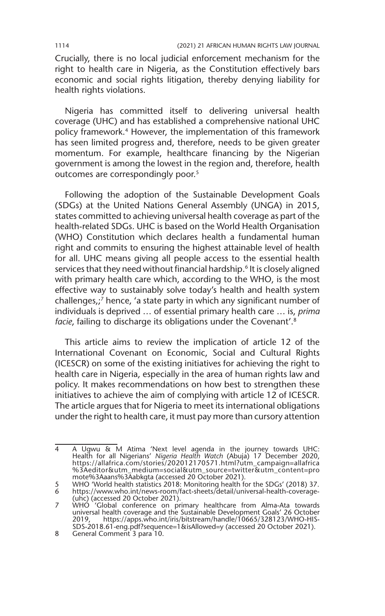Crucially, there is no local judicial enforcement mechanism for the right to health care in Nigeria, as the Constitution effectively bars economic and social rights litigation, thereby denying liability for health rights violations.

Nigeria has committed itself to delivering universal health coverage (UHC) and has established a comprehensive national UHC policy framework.<sup>4</sup> However, the implementation of this framework has seen limited progress and, therefore, needs to be given greater momentum. For example, healthcare financing by the Nigerian government is among the lowest in the region and, therefore, health outcomes are correspondingly poor.<sup>5</sup>

Following the adoption of the Sustainable Development Goals (SDGs) at the United Nations General Assembly (UNGA) in 2015, states committed to achieving universal health coverage as part of the health-related SDGs. UHC is based on the World Health Organisation (WHO) Constitution which declares health a fundamental human right and commits to ensuring the highest attainable level of health for all. UHC means giving all people access to the essential health services that they need without financial hardship.<sup>6</sup> It is closely aligned with primary health care which, according to the WHO, is the most effective way to sustainably solve today's health and health system challenges,;7 hence, 'a state party in which any significant number of individuals is deprived … of essential primary health care … is, *prima facie*, failing to discharge its obligations under the Covenant'.<sup>8</sup>

This article aims to review the implication of article 12 of the International Covenant on Economic, SociaI and Cultural Rights (ICESCR) on some of the existing initiatives for achieving the right to health care in Nigeria, especially in the area of human rights law and policy. It makes recommendations on how best to strengthen these initiatives to achieve the aim of complying with article 12 of ICESCR. The article argues that for Nigeria to meet its international obligations under the right to health care, it must pay more than cursory attention

<sup>4</sup> A Ugwu & M Atima 'Next level agenda in the journey towards UHC: Health for all Nigerians' *Nigeria Health Watch* (Abuja) 17 December 2020, https://allafrica.com/stories/202012170571.html?utm\_campaign=allafrica %3Aeditor&utm\_medium=social&utm\_source=twitter&utm\_content=pro mote%3Aaans%3Aabkgta (accessed 20 October 2021).

<sup>5</sup> WHO 'World health statistics 2018: Monitoring health for the SDGs' (2018) 37.

<sup>6</sup> https://www.who.int/news-room/fact-sheets/detail/universal-health-coverage-

<sup>(</sup>uhc) (accessed 20 October 2021). 7 WHO 'Global conference on primary healthcare from Alma-Ata towards universal health coverage and the Sustainable Development Goals' 26 October 2019, https://apps.who.int/iris/bitstream/handle/10665/328123/WHO-HIS-SDS-2018.61-eng.pdf?sequence=1&isAllowed=y (accessed 20 October 2021).

<sup>8</sup> General Comment 3 para 10.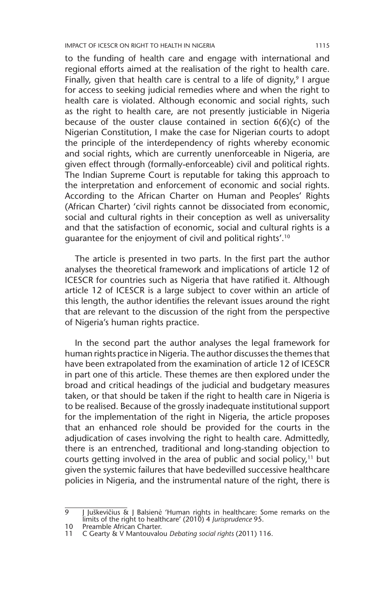IMPACT OF ICESCR ON RIGHT TO HEALTH IN NIGERIA 1115

to the funding of health care and engage with international and regional efforts aimed at the realisation of the right to health care. Finally, given that health care is central to a life of dignity, $9$  I argue for access to seeking judicial remedies where and when the right to health care is violated. Although economic and social rights, such as the right to health care, are not presently justiciable in Nigeria because of the ouster clause contained in section 6(6)(c) of the Nigerian Constitution, I make the case for Nigerian courts to adopt the principle of the interdependency of rights whereby economic and social rights, which are currently unenforceable in Nigeria, are given effect through (formally-enforceable) civil and political rights. The Indian Supreme Court is reputable for taking this approach to the interpretation and enforcement of economic and social rights. According to the African Charter on Human and Peoples' Rights (African Charter) 'civil rights cannot be dissociated from economic, social and cultural rights in their conception as well as universality and that the satisfaction of economic, social and cultural rights is a guarantee for the enjoyment of civil and political rights'.10

The article is presented in two parts. In the first part the author analyses the theoretical framework and implications of article 12 of ICESCR for countries such as Nigeria that have ratified it. Although article 12 of ICESCR is a large subject to cover within an article of this length, the author identifies the relevant issues around the right that are relevant to the discussion of the right from the perspective of Nigeria's human rights practice.

In the second part the author analyses the legal framework for human rights practice in Nigeria. The author discusses the themes that have been extrapolated from the examination of article 12 of ICESCR in part one of this article. These themes are then explored under the broad and critical headings of the judicial and budgetary measures taken, or that should be taken if the right to health care in Nigeria is to be realised. Because of the grossly inadequate institutional support for the implementation of the right in Nigeria, the article proposes that an enhanced role should be provided for the courts in the adjudication of cases involving the right to health care. Admittedly, there is an entrenched, traditional and long-standing objection to courts getting involved in the area of public and social policy,<sup>11</sup> but given the systemic failures that have bedevilled successive healthcare policies in Nigeria, and the instrumental nature of the right, there is

 $\overline{9}$  J Juškevičius & J Balsienė 'Human rights in healthcare: Some remarks on the limits of the right to healthcare' (2010) 4 *Jurisprudence* 95.

<sup>10</sup> Preamble African Charter.<br>11 C Gearty & V Mantouvalo

<sup>11</sup> C Gearty & V Mantouvalou *Debating social rights* (2011) 116.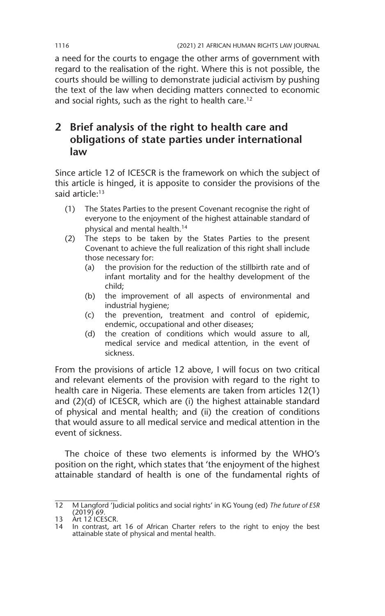a need for the courts to engage the other arms of government with regard to the realisation of the right. Where this is not possible, the courts should be willing to demonstrate judicial activism by pushing the text of the law when deciding matters connected to economic and social rights, such as the right to health care.<sup>12</sup>

### **2 Brief analysis of the right to health care and obligations of state parties under international law**

Since article 12 of ICESCR is the framework on which the subject of this article is hinged, it is apposite to consider the provisions of the said article:<sup>13</sup>

- (1) The States Parties to the present Covenant recognise the right of everyone to the enjoyment of the highest attainable standard of physical and mental health.14
- (2) The steps to be taken by the States Parties to the present Covenant to achieve the full realization of this right shall include those necessary for:
	- (a) the provision for the reduction of the stillbirth rate and of infant mortality and for the healthy development of the child;
	- (b) the improvement of all aspects of environmental and industrial hygiene;
	- (c) the prevention, treatment and control of epidemic, endemic, occupational and other diseases;
	- (d) the creation of conditions which would assure to all, medical service and medical attention, in the event of sickness.

From the provisions of article 12 above, I will focus on two critical and relevant elements of the provision with regard to the right to health care in Nigeria. These elements are taken from articles 12(1) and (2)(d) of ICESCR, which are (i) the highest attainable standard of physical and mental health; and (ii) the creation of conditions that would assure to all medical service and medical attention in the event of sickness.

The choice of these two elements is informed by the WHO's position on the right, which states that 'the enjoyment of the highest attainable standard of health is one of the fundamental rights of

<sup>12</sup> M Langford 'Judicial politics and social rights' in KG Young (ed) *The future of ESR* (2019) 69*.*

<sup>13</sup> Art 12 ICESCR.

<sup>14</sup> In contrast, art 16 of African Charter refers to the right to enjoy the best attainable state of physical and mental health.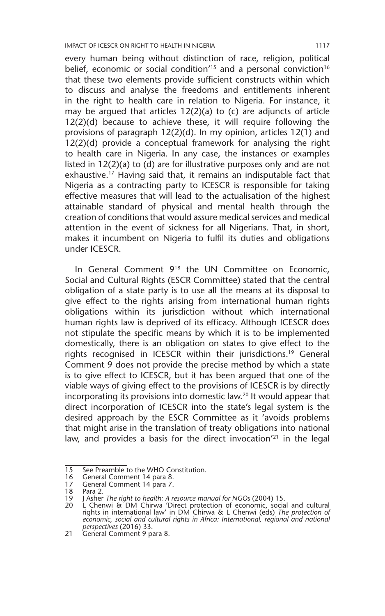every human being without distinction of race, religion, political belief, economic or social condition<sup> $15$ </sup> and a personal conviction<sup>16</sup> that these two elements provide sufficient constructs within which to discuss and analyse the freedoms and entitlements inherent in the right to health care in relation to Nigeria. For instance, it may be argued that articles  $12(2)(a)$  to (c) are adjuncts of article 12(2)(d) because to achieve these, it will require following the provisions of paragraph 12(2)(d). In my opinion, articles 12(1) and 12(2)(d) provide a conceptual framework for analysing the right to health care in Nigeria. In any case, the instances or examples listed in 12(2)(a) to (d) are for illustrative purposes only and are not exhaustive.<sup>17</sup> Having said that, it remains an indisputable fact that Nigeria as a contracting party to ICESCR is responsible for taking effective measures that will lead to the actualisation of the highest attainable standard of physical and mental health through the creation of conditions that would assure medical services and medical attention in the event of sickness for all Nigerians. That, in short, makes it incumbent on Nigeria to fulfil its duties and obligations under ICESCR.

In General Comment 918 the UN Committee on Economic, Social and Cultural Rights (ESCR Committee) stated that the central obligation of a state party is to use all the means at its disposal to give effect to the rights arising from international human rights obligations within its jurisdiction without which international human rights law is deprived of its efficacy. Although ICESCR does not stipulate the specific means by which it is to be implemented domestically, there is an obligation on states to give effect to the rights recognised in ICESCR within their jurisdictions.19 General Comment 9 does not provide the precise method by which a state is to give effect to ICESCR, but it has been argued that one of the viable ways of giving effect to the provisions of ICESCR is by directly incorporating its provisions into domestic law.20 It would appear that direct incorporation of ICESCR into the state's legal system is the desired approach by the ESCR Committee as it 'avoids problems that might arise in the translation of treaty obligations into national law, and provides a basis for the direct invocation<sup>'21</sup> in the legal

<sup>15</sup> See Preamble to the WHO Constitution.

<sup>16</sup> General Comment 14 para 8.

<sup>17</sup> General Comment 14 para 7.

<sup>18</sup> Para 2.<br>19 J Asher

<sup>19</sup> J Asher The right to health: A resource manual for NGOs (2004) 15.<br>20 L Chenwi & DM Chirwa 'Direct protection of economic, social and cultural<br>rights in international law' in DM Chirwa & L Chenwi (eds) The protection of *economic, social and cultural rights in Africa: International, regional and national perspectives* (2016) 33.

<sup>21</sup> General Comment 9 para 8.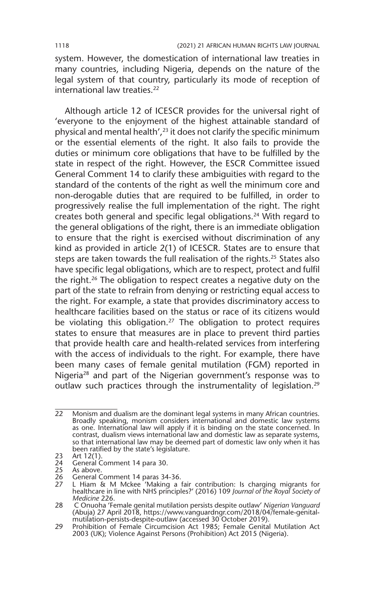system. However, the domestication of international law treaties in many countries, including Nigeria, depends on the nature of the legal system of that country, particularly its mode of reception of international law treaties.<sup>22</sup>

Although article 12 of ICESCR provides for the universal right of 'everyone to the enjoyment of the highest attainable standard of physical and mental health',<sup>23</sup> it does not clarify the specific minimum or the essential elements of the right. It also fails to provide the duties or minimum core obligations that have to be fulfilled by the state in respect of the right. However, the ESCR Committee issued General Comment 14 to clarify these ambiguities with regard to the standard of the contents of the right as well the minimum core and non-derogable duties that are required to be fulfilled, in order to progressively realise the full implementation of the right. The right creates both general and specific legal obligations.24 With regard to the general obligations of the right, there is an immediate obligation to ensure that the right is exercised without discrimination of any kind as provided in article 2(1) of ICESCR. States are to ensure that steps are taken towards the full realisation of the rights.<sup>25</sup> States also have specific legal obligations, which are to respect, protect and fulfil the right.26 The obligation to respect creates a negative duty on the part of the state to refrain from denying or restricting equal access to the right. For example, a state that provides discriminatory access to healthcare facilities based on the status or race of its citizens would be violating this obligation.<sup>27</sup> The obligation to protect requires states to ensure that measures are in place to prevent third parties that provide health care and health-related services from interfering with the access of individuals to the right. For example, there have been many cases of female genital mutilation (FGM) reported in Nigeria<sup>28</sup> and part of the Nigerian government's response was to outlaw such practices through the instrumentality of legislation.<sup>29</sup>

<sup>22</sup> Monism and dualism are the dominant legal systems in many African countries. Broadly speaking, monism considers international and domestic law systems as one. International law will apply if it is binding on the state concerned. In contrast, dualism views international law and domestic law as separate systems, so that international law may be deemed part of domestic law only when it has been ratified by the state's legislature.

<sup>23</sup> Art 12(1).

<sup>24</sup> General Comment 14 para 30.

<sup>25</sup> As above.<br>26 General C<br>27 I Hiam 8

<sup>26</sup> General Comment 14 paras 34-36.

<sup>27</sup> L Hiam & M Mckee 'Making a fair contribution: Is charging migrants for healthcare in line with NHS principles?' (2016) 109 *Journal of the Royal Society of Medicine* 226.

<sup>28</sup> C Onuoha 'Female genital mutilation persists despite outlaw' *Nigerian Vanguard* (Abuja) 27 April 2018, https://www.vanguardngr.com/2018/04/female-genitalmutilation-persists-despite-outlaw (accessed 30 October 2019).

<sup>29</sup> Prohibition of Female Circumcision Act 1985; Female Genital Mutilation Act 2003 (UK); Violence Against Persons (Prohibition) Act 2015 (Nigeria).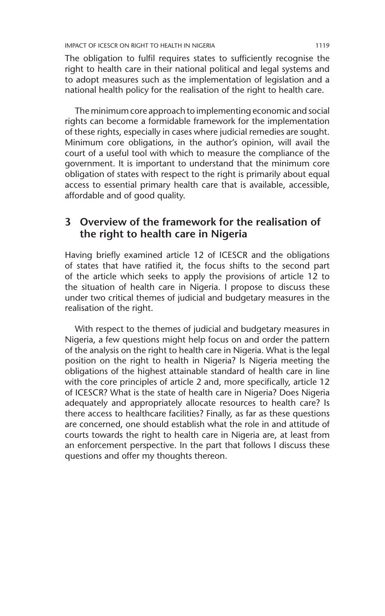The obligation to fulfil requires states to sufficiently recognise the right to health care in their national political and legal systems and to adopt measures such as the implementation of legislation and a national health policy for the realisation of the right to health care.

The minimum core approach to implementing economic and social rights can become a formidable framework for the implementation of these rights, especially in cases where judicial remedies are sought. Minimum core obligations, in the author's opinion, will avail the court of a useful tool with which to measure the compliance of the government. It is important to understand that the minimum core obligation of states with respect to the right is primarily about equal access to essential primary health care that is available, accessible, affordable and of good quality.

#### **3 Overview of the framework for the realisation of the right to health care in Nigeria**

Having briefly examined article 12 of ICESCR and the obligations of states that have ratified it, the focus shifts to the second part of the article which seeks to apply the provisions of article 12 to the situation of health care in Nigeria. I propose to discuss these under two critical themes of judicial and budgetary measures in the realisation of the right.

With respect to the themes of judicial and budgetary measures in Nigeria, a few questions might help focus on and order the pattern of the analysis on the right to health care in Nigeria. What is the legal position on the right to health in Nigeria? Is Nigeria meeting the obligations of the highest attainable standard of health care in line with the core principles of article 2 and, more specifically, article 12 of ICESCR? What is the state of health care in Nigeria? Does Nigeria adequately and appropriately allocate resources to health care? Is there access to healthcare facilities? Finally, as far as these questions are concerned, one should establish what the role in and attitude of courts towards the right to health care in Nigeria are, at least from an enforcement perspective. In the part that follows I discuss these questions and offer my thoughts thereon.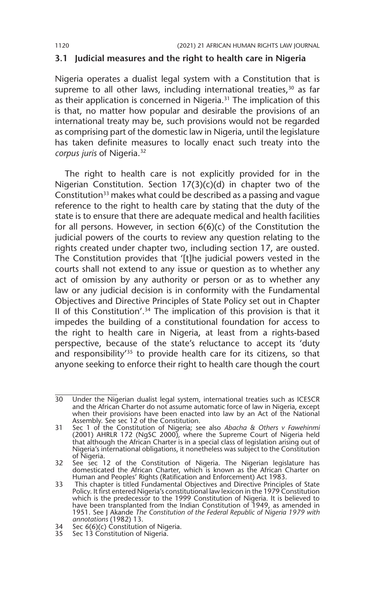#### **3.1 Judicial measures and the right to health care in Nigeria**

Nigeria operates a dualist legal system with a Constitution that is supreme to all other laws, including international treaties,  $30$  as far as their application is concerned in Nigeria.31 The implication of this is that, no matter how popular and desirable the provisions of an international treaty may be, such provisions would not be regarded as comprising part of the domestic law in Nigeria, until the legislature has taken definite measures to locally enact such treaty into the *corpus juris* of Nigeria.32

The right to health care is not explicitly provided for in the Nigerian Constitution. Section 17(3)(c)(d) in chapter two of the Constitution<sup>33</sup> makes what could be described as a passing and vague reference to the right to health care by stating that the duty of the state is to ensure that there are adequate medical and health facilities for all persons. However, in section 6(6)(c) of the Constitution the judicial powers of the courts to review any question relating to the rights created under chapter two, including section 17, are ousted. The Constitution provides that '[t]he judicial powers vested in the courts shall not extend to any issue or question as to whether any act of omission by any authority or person or as to whether any law or any judicial decision is in conformity with the Fundamental Objectives and Directive Principles of State Policy set out in Chapter II of this Constitution'.34 The implication of this provision is that it impedes the building of a constitutional foundation for access to the right to health care in Nigeria, at least from a rights-based perspective, because of the state's reluctance to accept its 'duty and responsibility<sup>'35</sup> to provide health care for its citizens, so that anyone seeking to enforce their right to health care though the court

<sup>30</sup> Under the Nigerian dualist legal system, international treaties such as ICESCR and the African Charter do not assume automatic force of law in Nigeria, except when their provisions have been enacted into law by an Act of the National Assembly. See sec 12 of the Constitution.

<sup>31</sup> Sec 1 of the Constitution of Nigeria; see also *Abacha & Others v Fawehinmi*  (2001) AHRLR 172 (NgSC 2000)*,* where the Supreme Court of Nigeria held that although the African Charter is in a special class of legislation arising out of Nigeria's international obligations, it nonetheless was subject to the Constitution of Nigeria.

<sup>32</sup> See sec 12 of the Constitution of Nigeria. The Nigerian legislature has domesticated the African Charter, which is known as the African Charter on Human and Peoples' Rights (Ratification and Enforcement) Act 1983.

<sup>33</sup> This chapter is titled Fundamental Objectives and Directive Principles of State Policy. It first entered Nigeria's constitutional law lexicon in the 1979 Constitution which is the predecessor to the 1999 Constitution of Nigeria. It is believed to have been transplanted from the Indian Constitution of 1949, as amended in 1951. See J Akande *The Constitution of the Federal Republic of Nigeria 1979 with annotations* (1982) 13.

<sup>34</sup> Sec 6(6)(c) Constitution of Nigeria.

<sup>35</sup> Sec 13 Constitution of Nigeria.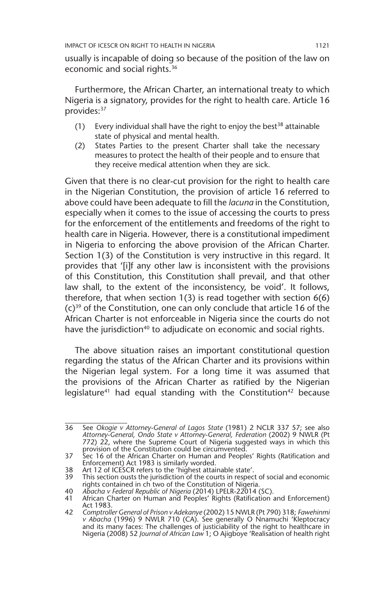usually is incapable of doing so because of the position of the law on economic and social rights.<sup>36</sup>

Furthermore, the African Charter, an international treaty to which Nigeria is a signatory, provides for the right to health care. Article 16 provides:<sup>37</sup>

- (1) Every individual shall have the right to enjoy the best<sup>38</sup> attainable state of physical and mental health.
- (2) States Parties to the present Charter shall take the necessary measures to protect the health of their people and to ensure that they receive medical attention when they are sick.

Given that there is no clear-cut provision for the right to health care in the Nigerian Constitution, the provision of article 16 referred to above could have been adequate to fill the *lacuna* in the Constitution, especially when it comes to the issue of accessing the courts to press for the enforcement of the entitlements and freedoms of the right to health care in Nigeria. However, there is a constitutional impediment in Nigeria to enforcing the above provision of the African Charter. Section 1(3) of the Constitution is very instructive in this regard. It provides that '[i]f any other law is inconsistent with the provisions of this Constitution, this Constitution shall prevail, and that other law shall, to the extent of the inconsistency, be void'. It follows, therefore, that when section 1(3) is read together with section 6(6)  $(c)$ <sup>39</sup> of the Constitution, one can only conclude that article 16 of the African Charter is not enforceable in Nigeria since the courts do not have the jurisdiction<sup>40</sup> to adjudicate on economic and social rights.

The above situation raises an important constitutional question regarding the status of the African Charter and its provisions within the Nigerian legal system. For a long time it was assumed that the provisions of the African Charter as ratified by the Nigerian legislature<sup>41</sup> had equal standing with the Constitution<sup>42</sup> because

<sup>36</sup> See *Okogie v Attorney-General of Lagos State* (1981) 2 NCLR 337 57; see also *Attorney-General, Ondo State v Attorney-General, Federation* (2002) 9 NWLR (Pt 772) 22, where the Supreme Court of Nigeria suggested ways in which this provision of the Constitution could be circumvented.

<sup>37</sup> Sec 16 of the African Charter on Human and Peoples' Rights (Ratification and Enforcement) Act 1983 is similarly worded.

<sup>38</sup> Art 12 of ICESCR refers to the 'highest attainable state'.

This section ousts the jurisdiction of the courts in respect of social and economic rights contained in ch two of the Constitution of Nigeria.

<sup>40</sup> *Abacha v Federal Republic of Nigeria* (2014) LPELR-22014 (SC).

African Charter on Human and Peoples' Rights (Ratification and Enforcement) Act 1983.

<sup>42</sup> *Comptroller General of Prison v Adekanye* (2002) 15 NWLR (Pt 790) 318; *Fawehinmi v Abacha* (1996) 9 NWLR 710 (CA). See generally O Nnamuchi 'Kleptocracy and its many faces: The challenges of justiciability of the right to healthcare in Nigeria (2008) 52 *Journal of African Law* 1; O Ajigboye 'Realisation of health right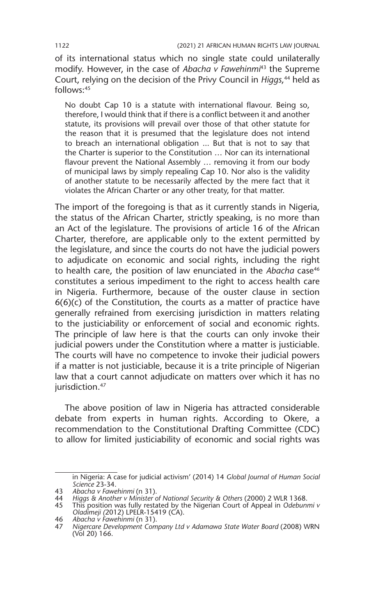of its international status which no single state could unilaterally modify. However, in the case of *Abacha v Fawehinmi*43 the Supreme Court, relying on the decision of the Privy Council in *Higgs*, 44 held as follows:45

No doubt Cap 10 is a statute with international flavour. Being so, therefore, I would think that if there is a conflict between it and another statute, its provisions will prevail over those of that other statute for the reason that it is presumed that the legislature does not intend to breach an international obligation ... But that is not to say that the Charter is superior to the Constitution … Nor can its international flavour prevent the National Assembly … removing it from our body of municipal laws by simply repealing Cap 10. Nor also is the validity of another statute to be necessarily affected by the mere fact that it violates the African Charter or any other treaty, for that matter.

The import of the foregoing is that as it currently stands in Nigeria, the status of the African Charter, strictly speaking, is no more than an Act of the legislature. The provisions of article 16 of the African Charter, therefore, are applicable only to the extent permitted by the legislature, and since the courts do not have the judicial powers to adjudicate on economic and social rights, including the right to health care, the position of law enunciated in the *Abacha* case<sup>46</sup> constitutes a serious impediment to the right to access health care in Nigeria. Furthermore, because of the ouster clause in section  $6(6)(c)$  of the Constitution, the courts as a matter of practice have generally refrained from exercising jurisdiction in matters relating to the justiciability or enforcement of social and economic rights. The principle of law here is that the courts can only invoke their judicial powers under the Constitution where a matter is justiciable. The courts will have no competence to invoke their judicial powers if a matter is not justiciable, because it is a trite principle of Nigerian law that a court cannot adjudicate on matters over which it has no jurisdiction.<sup>47</sup>

The above position of law in Nigeria has attracted considerable debate from experts in human rights. According to Okere, a recommendation to the Constitutional Drafting Committee (CDC) to allow for limited justiciability of economic and social rights was

in Nigeria: A case for judicial activism' (2014) 14 *Global Journal of Human Social Science* 23-34.

<sup>43</sup> *Abacha v Fawehinmi* (n 31).

<sup>44</sup> *Higgs & Another v Minister of National Security & Others* (2000) 2 WLR 1368.

<sup>45</sup> This position was fully restated by the Nigerian Court of Appeal in *Odebunmi v Oladimeji (*2012) LPELR-15419 (CA).

<sup>46</sup> *Abacha v Fawehinmi* (n 31).

<sup>47</sup> *Nigercare Development Company Ltd v Adamawa State Water Board* (2008) WRN (Vol 20) 166.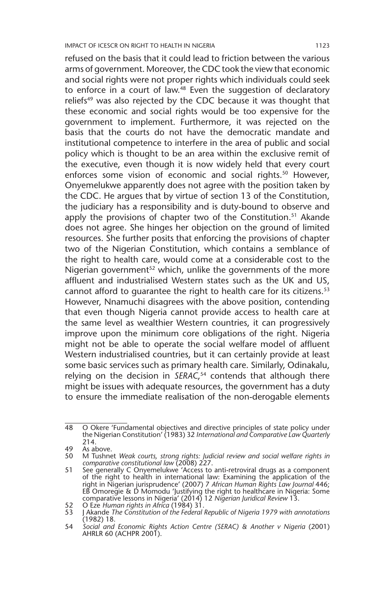refused on the basis that it could lead to friction between the various arms of government. Moreover, the CDC took the view that economic and social rights were not proper rights which individuals could seek to enforce in a court of law.48 Even the suggestion of declaratory reliefs<sup>49</sup> was also rejected by the CDC because it was thought that these economic and social rights would be too expensive for the government to implement. Furthermore, it was rejected on the basis that the courts do not have the democratic mandate and institutional competence to interfere in the area of public and social policy which is thought to be an area within the exclusive remit of the executive, even though it is now widely held that every court enforces some vision of economic and social rights.<sup>50</sup> However, Onyemelukwe apparently does not agree with the position taken by the CDC. He argues that by virtue of section 13 of the Constitution, the judiciary has a responsibility and is duty-bound to observe and apply the provisions of chapter two of the Constitution.<sup>51</sup> Akande does not agree. She hinges her objection on the ground of limited resources. She further posits that enforcing the provisions of chapter two of the Nigerian Constitution, which contains a semblance of the right to health care, would come at a considerable cost to the Nigerian government<sup>52</sup> which, unlike the governments of the more affluent and industrialised Western states such as the UK and US, cannot afford to quarantee the right to health care for its citizens.<sup>53</sup> However, Nnamuchi disagrees with the above position, contending that even though Nigeria cannot provide access to health care at the same level as wealthier Western countries, it can progressively improve upon the minimum core obligations of the right. Nigeria might not be able to operate the social welfare model of affluent Western industrialised countries, but it can certainly provide at least some basic services such as primary health care. Similarly, Odinakalu, relying on the decision in *SERAC*, 54 contends that although there might be issues with adequate resources, the government has a duty to ensure the immediate realisation of the non-derogable elements

<sup>48</sup> O Okere 'Fundamental objectives and directive principles of state policy under the Nigerian Constitution' (1983) 32 *International and Comparative Law Quarterly* 214.

<sup>49</sup> As above.

<sup>50</sup> M Tushnet *Weak courts, strong rights: Judicial review and social welfare rights in comparative constitutional law* (2008) 227.

<sup>51</sup> See generally C Onyemelukwe 'Access to anti-retroviral drugs as a component of the right to health in international law: Examining the application of the right in Nigerian jurisprudence' (2007) 7 *African Human Rights Law Journal* 446; EB Omoregie & D Momodu 'Justifying the right to healthcare in Nigeria: Some comparative lessons in Nigeria' (2014) 12 *Nigerian Juridical Review* 13. 52 O Eze *Human rights in Africa* (1984) 31.

<sup>53</sup> J Akande *The Constitution of the Federal Republic of Nigeria 1979 with annotations*  (1982) 18.

<sup>54</sup> *Social and Economic Rights Action Centre (SERAC) & Another v Nigeria* (2001) AHRLR 60 (ACHPR 2001).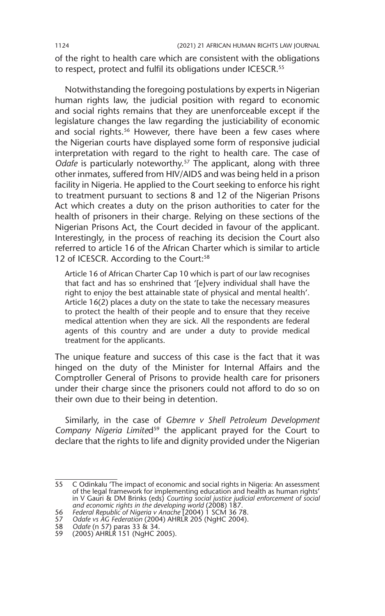of the right to health care which are consistent with the obligations to respect, protect and fulfil its obligations under ICESCR.<sup>55</sup>

Notwithstanding the foregoing postulations by experts in Nigerian human rights law, the judicial position with regard to economic and social rights remains that they are unenforceable except if the legislature changes the law regarding the justiciability of economic and social rights.<sup>56</sup> However, there have been a few cases where the Nigerian courts have displayed some form of responsive judicial interpretation with regard to the right to health care. The case of *Odafe* is particularly noteworthy.57 The applicant, along with three other inmates, suffered from HIV/AIDS and was being held in a prison facility in Nigeria. He applied to the Court seeking to enforce his right to treatment pursuant to sections 8 and 12 of the Nigerian Prisons Act which creates a duty on the prison authorities to cater for the health of prisoners in their charge. Relying on these sections of the Nigerian Prisons Act, the Court decided in favour of the applicant. Interestingly, in the process of reaching its decision the Court also referred to article 16 of the African Charter which is similar to article 12 of ICESCR. According to the Court:<sup>58</sup>

Article 16 of African Charter Cap 10 which is part of our law recognises that fact and has so enshrined that '[e]very individual shall have the right to enjoy the best attainable state of physical and mental health'. Article 16(2) places a duty on the state to take the necessary measures to protect the health of their people and to ensure that they receive medical attention when they are sick. All the respondents are federal agents of this country and are under a duty to provide medical treatment for the applicants.

The unique feature and success of this case is the fact that it was hinged on the duty of the Minister for Internal Affairs and the Comptroller General of Prisons to provide health care for prisoners under their charge since the prisoners could not afford to do so on their own due to their being in detention.

Similarly, in the case of *Gbemre v Shell Petroleum Development*  Company Nigeria Limited<sup>59</sup> the applicant prayed for the Court to declare that the rights to life and dignity provided under the Nigerian

<sup>55</sup> C Odinkalu 'The impact of economic and social rights in Nigeria: An assessment of the legal framework for implementing education and health as human rights' in V Gauri & DM Brinks (eds) *Courting social justice judicial enforcement of social and economic rights in the developing world* (2008) 187. 56 *Federal Republic of Nigeria v Anache* [2004) 1 SCM 36 78.

<sup>57</sup> *Odafe vs AG Federation* (2004) AHRLR 205 (NgHC 2004).

<sup>58</sup> *Odafe* (n 57) paras 33 & 34.

<sup>59</sup> (2005) AHRLR 151 (NgHC 2005).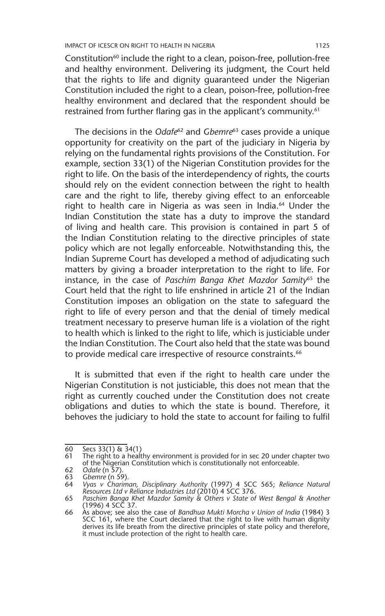Constitution<sup>60</sup> include the right to a clean, poison-free, pollution-free and healthy environment. Delivering its judgment, the Court held that the rights to life and dignity guaranteed under the Nigerian Constitution included the right to a clean, poison-free, pollution-free healthy environment and declared that the respondent should be restrained from further flaring gas in the applicant's community.<sup>61</sup>

The decisions in the *Odafe*62 and *Gbemre*63 cases provide a unique opportunity for creativity on the part of the judiciary in Nigeria by relying on the fundamental rights provisions of the Constitution. For example, section 33(1) of the Nigerian Constitution provides for the right to life. On the basis of the interdependency of rights, the courts should rely on the evident connection between the right to health care and the right to life, thereby giving effect to an enforceable right to health care in Nigeria as was seen in India.<sup>64</sup> Under the Indian Constitution the state has a duty to improve the standard of living and health care. This provision is contained in part 5 of the Indian Constitution relating to the directive principles of state policy which are not legally enforceable. Notwithstanding this, the Indian Supreme Court has developed a method of adjudicating such matters by giving a broader interpretation to the right to life. For instance, in the case of *Paschim Banga Khet Mazdor Samity*65 the Court held that the right to life enshrined in article 21 of the Indian Constitution imposes an obligation on the state to safeguard the right to life of every person and that the denial of timely medical treatment necessary to preserve human life is a violation of the right to health which is linked to the right to life, which is justiciable under the Indian Constitution. The Court also held that the state was bound to provide medical care irrespective of resource constraints.<sup>66</sup>

It is submitted that even if the right to health care under the Nigerian Constitution is not justiciable, this does not mean that the right as currently couched under the Constitution does not create obligations and duties to which the state is bound. Therefore, it behoves the judiciary to hold the state to account for failing to fulfil

 $\overline{60}$  Secs 33(1) & 34(1)<br>61 The right to a healt

<sup>61</sup> The right to a healthy environment is provided for in sec 20 under chapter two of the Nigerian Constitution which is constitutionally not enforceable.

<sup>62</sup> *Odafe* (n 57).

<sup>63</sup> *Gbemre* (n 59). 64 *Vyas v Chariman, Disciplinary Authority* (1997) 4 SCC 565; *Reliance Natural Resources Ltd v Reliance Industries Ltd* (2010) 4 SCC 376.

<sup>65</sup> *Paschim Banga Khet Mazdor Samity & Others v State of West Bengal & Another* (1996) 4 SCC 37.

<sup>66</sup> As above; see also the case of *Bandhua Mukti Morcha v Union of India* (1984) 3 SCC 161, where the Court declared that the right to live with human dignity derives its life breath from the directive principles of state policy and therefore, it must include protection of the right to health care.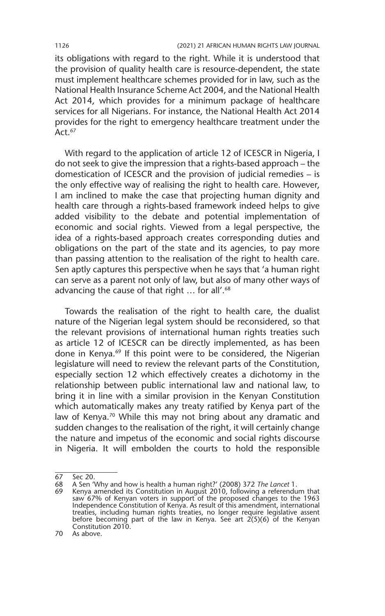its obligations with regard to the right. While it is understood that the provision of quality health care is resource-dependent, the state must implement healthcare schemes provided for in law, such as the National Health Insurance Scheme Act 2004, and the National Health Act 2014, which provides for a minimum package of healthcare services for all Nigerians. For instance, the National Health Act 2014 provides for the right to emergency healthcare treatment under the Act. $67$ 

With regard to the application of article 12 of ICESCR in Nigeria, I do not seek to give the impression that a rights-based approach – the domestication of ICESCR and the provision of judicial remedies – is the only effective way of realising the right to health care. However, I am inclined to make the case that projecting human dignity and health care through a rights-based framework indeed helps to give added visibility to the debate and potential implementation of economic and social rights. Viewed from a legal perspective, the idea of a rights-based approach creates corresponding duties and obligations on the part of the state and its agencies, to pay more than passing attention to the realisation of the right to health care. Sen aptly captures this perspective when he says that 'a human right can serve as a parent not only of law, but also of many other ways of advancing the cause of that right ... for all'.<sup>68</sup>

Towards the realisation of the right to health care, the dualist nature of the Nigerian legal system should be reconsidered, so that the relevant provisions of international human rights treaties such as article 12 of ICESCR can be directly implemented, as has been done in Kenya.<sup>69</sup> If this point were to be considered, the Nigerian legislature will need to review the relevant parts of the Constitution, especially section 12 which effectively creates a dichotomy in the relationship between public international law and national law, to bring it in line with a similar provision in the Kenyan Constitution which automatically makes any treaty ratified by Kenya part of the law of Kenya.<sup>70</sup> While this may not bring about any dramatic and sudden changes to the realisation of the right, it will certainly change the nature and impetus of the economic and social rights discourse in Nigeria. It will embolden the courts to hold the responsible

68 A Sen 'Why and how is health a human right?' (2008) 372 *The Lancet* 1.

<sup>67</sup> Sec 20.

<sup>69</sup> Kenya amended its Constitution in August 2010, following a referendum that saw 67% of Kenyan voters in support of the proposed changes to the 1963<br>Independence Constitution of Kenya. As result of this amendment, international<br>treaties, including human rights treaties, no longer require legislativ before becoming part of the law in Kenya. See art 2(5)(6) of the Kenyan before becoming part of the law in Kenya. See art 2(5)(6) of the Kenyan Constitution 2010.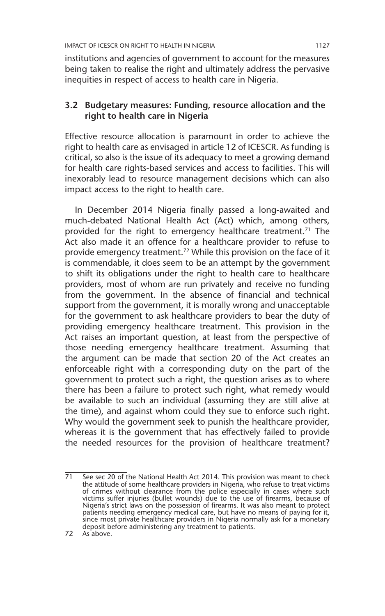institutions and agencies of government to account for the measures being taken to realise the right and ultimately address the pervasive inequities in respect of access to health care in Nigeria.

#### **3.2 Budgetary measures: Funding, resource allocation and the right to health care in Nigeria**

Effective resource allocation is paramount in order to achieve the right to health care as envisaged in article 12 of ICESCR. As funding is critical, so also is the issue of its adequacy to meet a growing demand for health care rights-based services and access to facilities. This will inexorably lead to resource management decisions which can also impact access to the right to health care.

In December 2014 Nigeria finally passed a long-awaited and much-debated National Health Act (Act) which, among others, provided for the right to emergency healthcare treatment.<sup>71</sup> The Act also made it an offence for a healthcare provider to refuse to provide emergency treatment.<sup>72</sup> While this provision on the face of it is commendable, it does seem to be an attempt by the government to shift its obligations under the right to health care to healthcare providers, most of whom are run privately and receive no funding from the government. In the absence of financial and technical support from the government, it is morally wrong and unacceptable for the government to ask healthcare providers to bear the duty of providing emergency healthcare treatment. This provision in the Act raises an important question, at least from the perspective of those needing emergency healthcare treatment. Assuming that the argument can be made that section 20 of the Act creates an enforceable right with a corresponding duty on the part of the government to protect such a right, the question arises as to where there has been a failure to protect such right, what remedy would be available to such an individual (assuming they are still alive at the time), and against whom could they sue to enforce such right. Why would the government seek to punish the healthcare provider, whereas it is the government that has effectively failed to provide the needed resources for the provision of healthcare treatment?

<sup>71</sup> See sec 20 of the National Health Act 2014. This provision was meant to check the attitude of some healthcare providers in Nigeria, who refuse to treat victims of crimes without clearance from the police especially in cases where such victims suffer injuries (bullet wounds) due to the use of firearms, because of Nigeria's strict laws on the possession of firearms. It was also meant to protect patients needing emergency medical care, but have no means of paying for it, since most private healthcare providers in Nigeria normally ask for a monetary deposit before administering any treatment to patients.

<sup>72</sup> As above.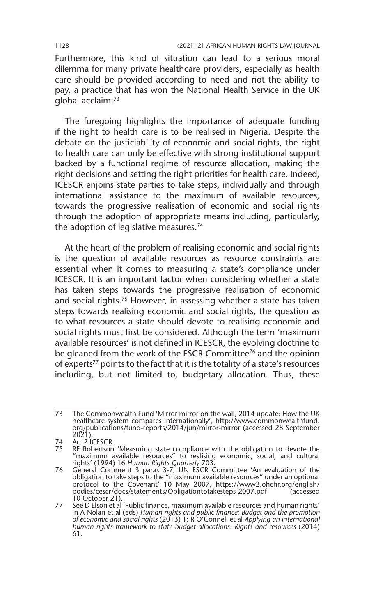Furthermore, this kind of situation can lead to a serious moral dilemma for many private healthcare providers, especially as health care should be provided according to need and not the ability to pay, a practice that has won the National Health Service in the UK global acclaim.73

The foregoing highlights the importance of adequate funding if the right to health care is to be realised in Nigeria. Despite the debate on the justiciability of economic and social rights, the right to health care can only be effective with strong institutional support backed by a functional regime of resource allocation, making the right decisions and setting the right priorities for health care. Indeed, ICESCR enjoins state parties to take steps, individually and through international assistance to the maximum of available resources, towards the progressive realisation of economic and social rights through the adoption of appropriate means including, particularly, the adoption of legislative measures.<sup>74</sup>

At the heart of the problem of realising economic and social rights is the question of available resources as resource constraints are essential when it comes to measuring a state's compliance under ICESCR. It is an important factor when considering whether a state has taken steps towards the progressive realisation of economic and social rights.75 However, in assessing whether a state has taken steps towards realising economic and social rights, the question as to what resources a state should devote to realising economic and social rights must first be considered. Although the term 'maximum available resources' is not defined in ICESCR, the evolving doctrine to be gleaned from the work of the ESCR Committee<sup>76</sup> and the opinion of experts<sup>77</sup> points to the fact that it is the totality of a state's resources including, but not limited to, budgetary allocation. Thus, these

<sup>73</sup> The Commonwealth Fund 'Mirror mirror on the wall, 2014 update: How the UK healthcare system compares internationally', http://www.commonwealthfund. org/publications/fund-reports/2014/jun/mirror-mirror (accessed 28 September 2021).

<sup>74</sup> Art 2 ICESCR.<br>75 RE Robertson

RE Robertson 'Measuring state compliance with the obligation to devote the "maximum available resources" to realising economic, social, and cultural rights' (1994) 16 *Human Rights Quarterly* 703.

<sup>76</sup> General Comment 3 paras 3-7; UN ESCR Committee 'An evaluation of the obligation to take steps to the "maximum available resources" under an optional protocol to the Covenant' 10 May 2007, https://www2.ohchr.org/english/ bodies/cescr/docs/statements/Obligationtotakesteps-2007.pdf (accessed

<sup>10</sup> October 21). 77 See D Elson et al 'Public finance, maximum available resources and human rights' in A Nolan et al (eds) *Human rights and public finance: Budget and the promotion of economic and social rights* (2013) 1; R O'Connell et al *Applying an international human rights framework to state budget allocations: Rights and resources* (2014) 61.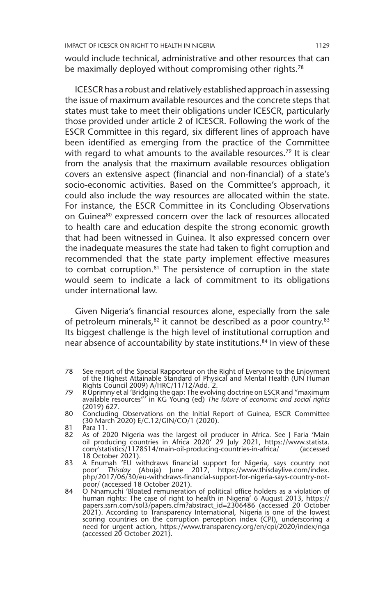would include technical, administrative and other resources that can be maximally deployed without compromising other rights.<sup>78</sup>

ICESCR has a robust and relatively established approach in assessing the issue of maximum available resources and the concrete steps that states must take to meet their obligations under ICESCR, particularly those provided under article 2 of ICESCR. Following the work of the ESCR Committee in this regard, six different lines of approach have been identified as emerging from the practice of the Committee with regard to what amounts to the available resources.<sup>79</sup> It is clear from the analysis that the maximum available resources obligation covers an extensive aspect (financial and non-financial) of a state's socio-economic activities. Based on the Committee's approach, it could also include the way resources are allocated within the state. For instance, the ESCR Committee in its Concluding Observations on Guinea<sup>80</sup> expressed concern over the lack of resources allocated to health care and education despite the strong economic growth that had been witnessed in Guinea. It also expressed concern over the inadequate measures the state had taken to fight corruption and recommended that the state party implement effective measures to combat corruption.81 The persistence of corruption in the state would seem to indicate a lack of commitment to its obligations under international law.

Given Nigeria's financial resources alone, especially from the sale of petroleum minerals,  $82$  it cannot be described as a poor country.  $83$ Its biggest challenge is the high level of institutional corruption and near absence of accountability by state institutions.<sup>84</sup> In view of these

<sup>78</sup> See report of the Special Rapporteur on the Right of Everyone to the Enjoyment of the Highest Attainable Standard of Physical and Mental Health (UN Human Rights Council 2009) A/HRC/11/12/Add. 2.

<sup>79</sup> R Uprimny et al 'Bridging the gap: The evolving doctrine on ESCR and "maximum available resources"' in KG Young (ed) *The future of economic and social rights* (2019) 627.

<sup>80</sup> Concluding Observations on the Initial Report of Guinea, ESCR Committee (30 March 2020) E/C.12/GIN/CO/1 (2020).

<sup>81</sup> Para 11.<br>82 As of 20

<sup>82</sup> As of 2020 Nigeria was the largest oil producer in Africa. See J Faria 'Main oil producing countries in Africa 2020' 29 July 2021, https://www.statista. com/statistics/1178514/main-oil-producing-countries-in-africa/ (accessed 18 October 2021).

<sup>83</sup> A Enumah 'EU withdraws financial support for Nigeria, says country not poor' *Thisday* (Abuja) June 2017, https://www.thisdaylive.com/index. php/2017/06/30/eu-withdraws-financial-support-for-nigeria-says-country-notpoor/ (accessed 18 October 2021).

<sup>84</sup> O Nnamuchi 'Bloated remuneration of political office holders as a violation of human rights: The case of right to health in Nigeria' 6 August 2013, https://<br>papers.ssrn.com/sol3/papers.cfm?abstract\_id=2306486 (accessed 20 October<br>2021). According to Transparency International, Nigeria is one of the l scoring countries on the corruption perception index (CPI), underscoring a need for urgent action, https://www.transparency.org/en/cpi/2020/index/nga (accessed 20 October 2021).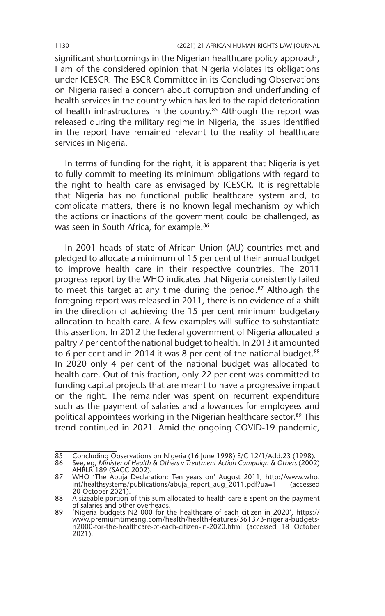significant shortcomings in the Nigerian healthcare policy approach, I am of the considered opinion that Nigeria violates its obligations under ICESCR. The ESCR Committee in its Concluding Observations on Nigeria raised a concern about corruption and underfunding of health services in the country which has led to the rapid deterioration of health infrastructures in the country.<sup>85</sup> Although the report was released during the military regime in Nigeria, the issues identified in the report have remained relevant to the reality of healthcare services in Nigeria.

In terms of funding for the right, it is apparent that Nigeria is yet to fully commit to meeting its minimum obligations with regard to the right to health care as envisaged by ICESCR. It is regrettable that Nigeria has no functional public healthcare system and, to complicate matters, there is no known legal mechanism by which the actions or inactions of the government could be challenged, as was seen in South Africa, for example.<sup>86</sup>

In 2001 heads of state of African Union (AU) countries met and pledged to allocate a minimum of 15 per cent of their annual budget to improve health care in their respective countries. The 2011 progress report by the WHO indicates that Nigeria consistently failed to meet this target at any time during the period. $87$  Although the foregoing report was released in 2011, there is no evidence of a shift in the direction of achieving the 15 per cent minimum budgetary allocation to health care. A few examples will suffice to substantiate this assertion. In 2012 the federal government of Nigeria allocated a paltry 7 per cent of the national budget to health. In 2013 it amounted to 6 per cent and in 2014 it was 8 per cent of the national budget.<sup>88</sup> In 2020 only 4 per cent of the national budget was allocated to health care. Out of this fraction, only 22 per cent was committed to funding capital projects that are meant to have a progressive impact on the right. The remainder was spent on recurrent expenditure such as the payment of salaries and allowances for employees and political appointees working in the Nigerian healthcare sector.<sup>89</sup> This trend continued in 2021. Amid the ongoing COVID-19 pandemic,

<sup>85</sup> Concluding Observations on Nigeria (16 June 1998) E/C 12/1/Add.23 (1998). 86 See, eg, *Minister of Health & Others v Treatment Action Campaign & Others* (2002) AHRLR 189 (SACC 2002).

<sup>87</sup> WHO 'The Abuja Declaration: Ten years on' August 2011, http://www.who. int/healthsystems/publications/abuja\_report\_aug\_2011.pdf?ua=1 (accessed 20 October 2021).

<sup>88</sup> A sizeable portion of this sum allocated to health care is spent on the payment of salaries and other overheads.

<sup>89</sup> 'Nigeria budgets N2 000 for the healthcare of each citizen in 2020', https:// www.premiumtimesng.com/health/health-features/361373-nigeria-budgetsn2000-for-the-healthcare-of-each-citizen-in-2020.html (accessed 18 October 2021).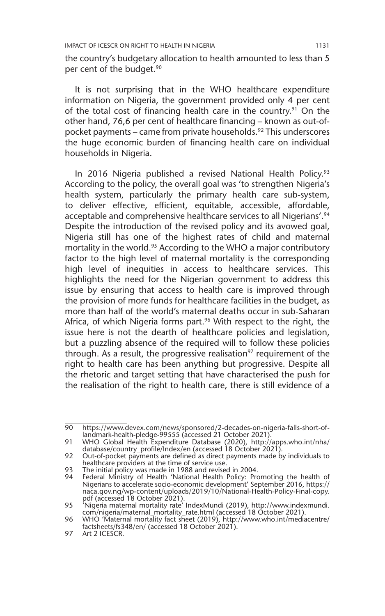the country's budgetary allocation to health amounted to less than 5 per cent of the budget.<sup>90</sup>

It is not surprising that in the WHO healthcare expenditure information on Nigeria, the government provided only 4 per cent of the total cost of financing health care in the country.<sup>91</sup> On the other hand, 76,6 per cent of healthcare financing – known as out-ofpocket payments – came from private households.<sup>92</sup> This underscores the huge economic burden of financing health care on individual households in Nigeria.

In 2016 Nigeria published a revised National Health Policy.<sup>93</sup> According to the policy, the overall goal was 'to strengthen Nigeria's health system, particularly the primary health care sub-system, to deliver effective, efficient, equitable, accessible, affordable, acceptable and comprehensive healthcare services to all Nigerians'.<sup>94</sup> Despite the introduction of the revised policy and its avowed goal, Nigeria still has one of the highest rates of child and maternal mortality in the world.<sup>95</sup> According to the WHO a major contributory factor to the high level of maternal mortality is the corresponding high level of inequities in access to healthcare services. This highlights the need for the Nigerian government to address this issue by ensuring that access to health care is improved through the provision of more funds for healthcare facilities in the budget, as more than half of the world's maternal deaths occur in sub-Saharan Africa, of which Nigeria forms part.<sup>96</sup> With respect to the right, the issue here is not the dearth of healthcare policies and legislation, but a puzzling absence of the required will to follow these policies through. As a result, the progressive realisation<sup>97</sup> requirement of the right to health care has been anything but progressive. Despite all the rhetoric and target setting that have characterised the push for the realisation of the right to health care, there is still evidence of a

<sup>90</sup> https://www.devex.com/news/sponsored/2-decades-on-nigeria-falls-short-oflandmark-health-pledge-99555 (accessed 21 October 2021).

<sup>91</sup> WHO Global Health Expenditure Database (2020), http://apps.who.int/nha/ database/country\_profile/Index/en (accessed 18 October 2021).

<sup>92</sup> Out-of-pocket payments are defined as direct payments made by individuals to healthcare providers at the time of service use.

<sup>93</sup> The initial policy was made in 1988 and revised in 2004.

<sup>94</sup> Federal Ministry of Health 'National Health Policy: Promoting the health of Nigerians to accelerate socio-economic development' September 2016, https:// naca.gov.ng/wp-content/uploads/2019/10/National-Health-Policy-Final-copy.

pdf (accessed 18 October 2021). 95 'Nigeria maternal mortality rate' IndexMundi (2019), http://www.indexmundi. com/nigeria/maternal\_mortality\_rate.html (accessed 18 October 2021).

<sup>96</sup> WHO 'Maternal mortality fact sheet (2019), http://www.who.int/mediacentre/ factsheets/fs348/en/ (accessed 18 October 2021).

<sup>97</sup> Art 2 ICESCR.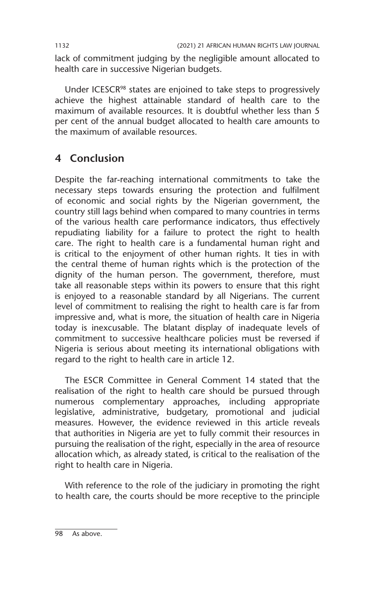lack of commitment judging by the negligible amount allocated to health care in successive Nigerian budgets.

Under ICESCR<sup>98</sup> states are enjoined to take steps to progressively achieve the highest attainable standard of health care to the maximum of available resources. It is doubtful whether less than 5 per cent of the annual budget allocated to health care amounts to the maximum of available resources.

## **4 Conclusion**

Despite the far-reaching international commitments to take the necessary steps towards ensuring the protection and fulfilment of economic and social rights by the Nigerian government, the country still lags behind when compared to many countries in terms of the various health care performance indicators, thus effectively repudiating liability for a failure to protect the right to health care. The right to health care is a fundamental human right and is critical to the enjoyment of other human rights. It ties in with the central theme of human rights which is the protection of the dignity of the human person. The government, therefore, must take all reasonable steps within its powers to ensure that this right is enjoyed to a reasonable standard by all Nigerians. The current level of commitment to realising the right to health care is far from impressive and, what is more, the situation of health care in Nigeria today is inexcusable. The blatant display of inadequate levels of commitment to successive healthcare policies must be reversed if Nigeria is serious about meeting its international obligations with regard to the right to health care in article 12.

The ESCR Committee in General Comment 14 stated that the realisation of the right to health care should be pursued through numerous complementary approaches, including appropriate legislative, administrative, budgetary, promotional and judicial measures. However, the evidence reviewed in this article reveals that authorities in Nigeria are yet to fully commit their resources in pursuing the realisation of the right, especially in the area of resource allocation which, as already stated, is critical to the realisation of the right to health care in Nigeria.

With reference to the role of the judiciary in promoting the right to health care, the courts should be more receptive to the principle

98 As above.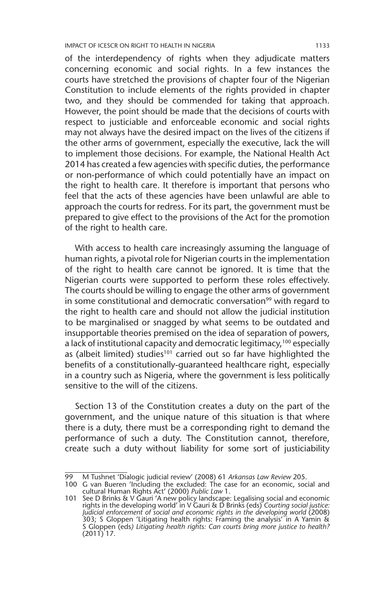IMPACT OF ICESCR ON RIGHT TO HEALTH IN NIGERIA 1133

of the interdependency of rights when they adjudicate matters concerning economic and social rights. In a few instances the courts have stretched the provisions of chapter four of the Nigerian Constitution to include elements of the rights provided in chapter two, and they should be commended for taking that approach. However, the point should be made that the decisions of courts with respect to justiciable and enforceable economic and social rights may not always have the desired impact on the lives of the citizens if the other arms of government, especially the executive, lack the will to implement those decisions. For example, the National Health Act 2014 has created a few agencies with specific duties, the performance or non-performance of which could potentially have an impact on the right to health care. It therefore is important that persons who feel that the acts of these agencies have been unlawful are able to approach the courts for redress. For its part, the government must be prepared to give effect to the provisions of the Act for the promotion of the right to health care.

With access to health care increasingly assuming the language of human rights, a pivotal role for Nigerian courts in the implementation of the right to health care cannot be ignored. It is time that the Nigerian courts were supported to perform these roles effectively. The courts should be willing to engage the other arms of government in some constitutional and democratic conversation<sup>99</sup> with regard to the right to health care and should not allow the judicial institution to be marginalised or snagged by what seems to be outdated and insupportable theories premised on the idea of separation of powers, a lack of institutional capacity and democratic legitimacy,<sup>100</sup> especially as (albeit limited) studies<sup>101</sup> carried out so far have highlighted the benefits of a constitutionally-guaranteed healthcare right, especially in a country such as Nigeria, where the government is less politically sensitive to the will of the citizens.

Section 13 of the Constitution creates a duty on the part of the government, and the unique nature of this situation is that where there is a duty, there must be a corresponding right to demand the performance of such a duty. The Constitution cannot, therefore, create such a duty without liability for some sort of justiciability

<sup>99</sup> M Tushnet 'Dialogic judicial review' (2008) 61 *Arkansas Law Review* 205.

<sup>100</sup> G van Bueren 'Including the excluded: The case for an economic, social and cultural Human Rights Act' (2000) *Public Law* 1.

<sup>101</sup> See D Brinks & V Gauri 'A new policy landscape: Legalising social and economic<br>rights in the developing world' in V Gauri & D Brinks (eds) Courting social justice:<br>Judicial enforcement of social and economic rights in 303; S Gloppen 'Litigating health rights: Framing the analysis' in A Yamin & S Gloppen (eds*) Litigating health rights: Can courts bring more justice to health?*  $(2011)$  17.